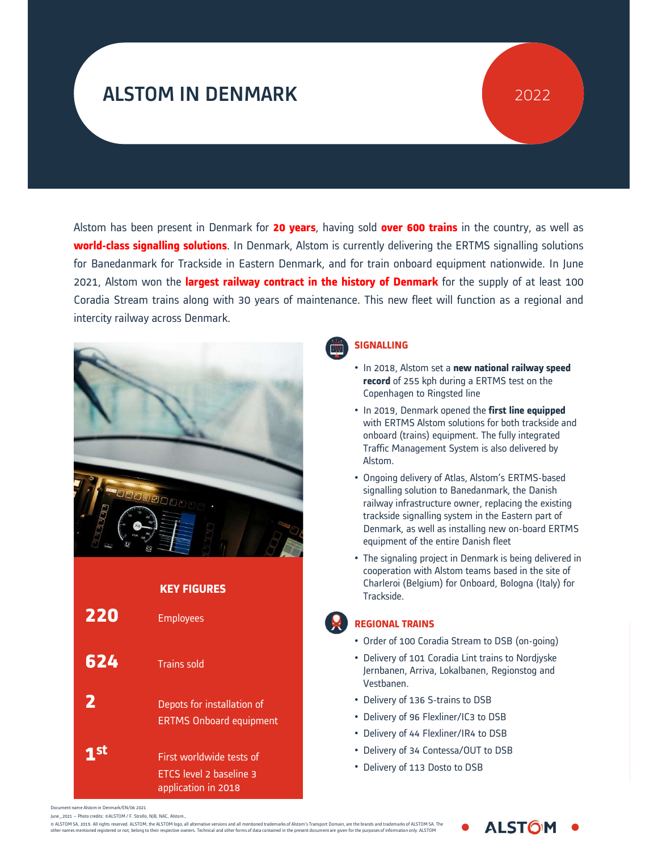# ALSTOM IN DENMARK

## 2022

Alstom has been present in Denmark for 20 years, having sold over 600 trains in the country, as well as<br>world-class signalling solutions. In Denmark, Alstom is currently delivering the ERTMS signalling solutions<br>for Baneda Alstom has been present in Denmark for 20 years, having sold over 600 trains in the country, as well as<br>world-class signalling solutions. In Denmark, Alstom is currently delivering the ERTMS signalling solutions<br>for Baneda Alstom has been present in Denmark for **20 years**, having sold **over 600 trains** in the country, as well as<br>**world-class signalling solutions**. In Denmark, Alstom is currently delivering the ERTMS signalling solutions<br>for Alstom has been present in Denmark for **20 years**, having sold **over 600 trains** in the country, as well as **world-class signalling solutions**. In Denmark, Alstom is currently delivering the ERTMS signalling solutions for Alstom has been present in Denmark for **20 years**, having sold **over 600 trains** in the country, as well as<br>**world-class signalling solutions**. In Denmark, Alstom is currently delivering the ERTMS signalling solutions<br>for Alstom has been present in Denmark for 20 years, having<br>world-class signalling solutions. In Denmark, Alstom is cur<br>for Banedanmark for Trackside in Eastern Denmark, and for<br>2021, Alstom won the largest railway contract in





#### SIGNALLING

- In 2018, Alstom set a new national railway speed record of 255 kph during a ERTMS test on the Copenhagen to Ringsted line
- In 2019, Denmark opened the first line equipped with ERTMS Alstom solutions for both trackside and onboard (trains) equipment. The fully integrated Traffic Management System is also delivered by Alstom.
- Ongoing delivery of Atlas, Alstom's ERTMS-based signalling solution to Banedanmark, the Danish railway infrastructure owner, replacing the existing trackside signalling system in the Eastern part of Denmark, as well as installing new on-board ERTMS equipment of the entire Danish fleet
- The signaling project in Denmark is being delivered in<br>cooperation with Alstom teams based in the site of<br>Charleroi (Belgium) for Onboard, Bologna (Italy) for<br>Trackside.<br>**EGIONAL TRAINS**<br>Order of 100 Coradia Stream to DSB • The signaling project in Denmark is being delivered in cooperation with Alstom teams based in the site of Charleroi (Belgium) for Onboard, Bologna (Italy) for Trackside.

#### REGIONAL TRAINS

**L** 

- Order of 100 Coradia Stream to DSB (on-going)
- ralhanen Regionstr  $I_{\text{max}}$ or Onboard, Bologna (Italy) for<br>Stream to DSB (on-going)<br>ia Lint trains to Nordjyske<br>kalbanen, Regionstog and<br>ns to DSB<br>er/IC3 to DSB<br>er/IR4 to DSB Stream to DSB (on-going)<br>
ia Lint trains to Nordjyske<br>
salbanen, Regionstog and<br>
ns to DSB<br>
Pr/IC3 to DSB<br>
Pr/IR4 to DSB<br>
Pr/IR4 to DSB • Delivery of 101 Coradia Lint trains to Nordjyske Vestbanen. • Delivery of 101 Coradia Lint trains to Nordjyske<br>Jernbanen, Arriva, Lokalbanen, Regionstog and<br>Vestbanen.<br>• Delivery of 136 S-trains to DSB<br>• Delivery of 44 Flexliner/IR4 to DSB<br>• Delivery of 34 Contessa/OUT to DSB<br>• Del
- Delivery of 136 S-trains to DSB
- Delivery of 96 Flexliner/IC3 to DSB
- Delivery of 44 Flexliner/IR4 to DSB
- Delivery of 34 Contessa/OUT to DSB
- 

Document name Alstom in Denmark/EN/06 2021